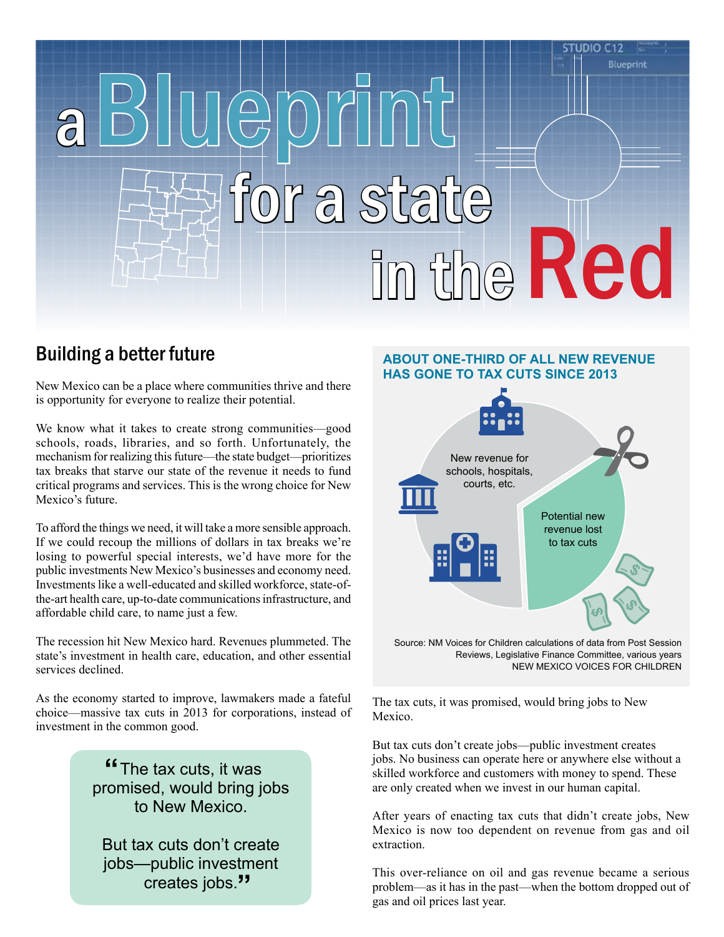# C 12 Blueprint aBlueprint a statte m the Red

# Building a better future

New Mexico can be a place where communities thrive and there is opportunity for everyone to realize their potential.

We know what it takes to create strong communities—good schools, roads, libraries, and so forth. Unfortunately, the mechanism for realizing this future—the state budget—prioritizes tax breaks that starve our state of the revenue it needs to fund critical programs and services. This is the wrong choice for New Mexico's future.

To afford the things we need, it will take a more sensible approach. If we could recoup the millions of dollars in tax breaks we're losing to powerful special interests, we'd have more for the public investments New Mexico's businesses and economy need. Investments like a well-educated and skilled workforce, state-ofthe-art health care, up-to-date communications infrastructure, and affordable child care, to name just a few.

The recession hit New Mexico hard. Revenues plummeted. The state's investment in health care, education, and other essential services declined.

As the economy started to improve, lawmakers made a fateful choice—massive tax cuts in 2013 for corporations, instead of investment in the common good.

> **"The tax cuts, it was**<br>**""**" promised, would bring jobs to New Mexico.

But tax cuts don't create jobs—public investment creates jobs.**"**

#### **About One-Third of all new revenue has gone to tax cuts since 2013**



Source: NM Voices for Children calculations of data from Post Session Reviews, Legislative Finance Committee, various years New Mexico voices for children

The tax cuts, it was promised, would bring jobs to New Mexico.

But tax cuts don't create jobs—public investment creates jobs. No business can operate here or anywhere else without a skilled workforce and customers with money to spend. These are only created when we invest in our human capital.

After years of enacting tax cuts that didn't create jobs, New Mexico is now too dependent on revenue from gas and oil extraction.

This over-reliance on oil and gas revenue became a serious problem—as it has in the past—when the bottom dropped out of gas and oil prices last year.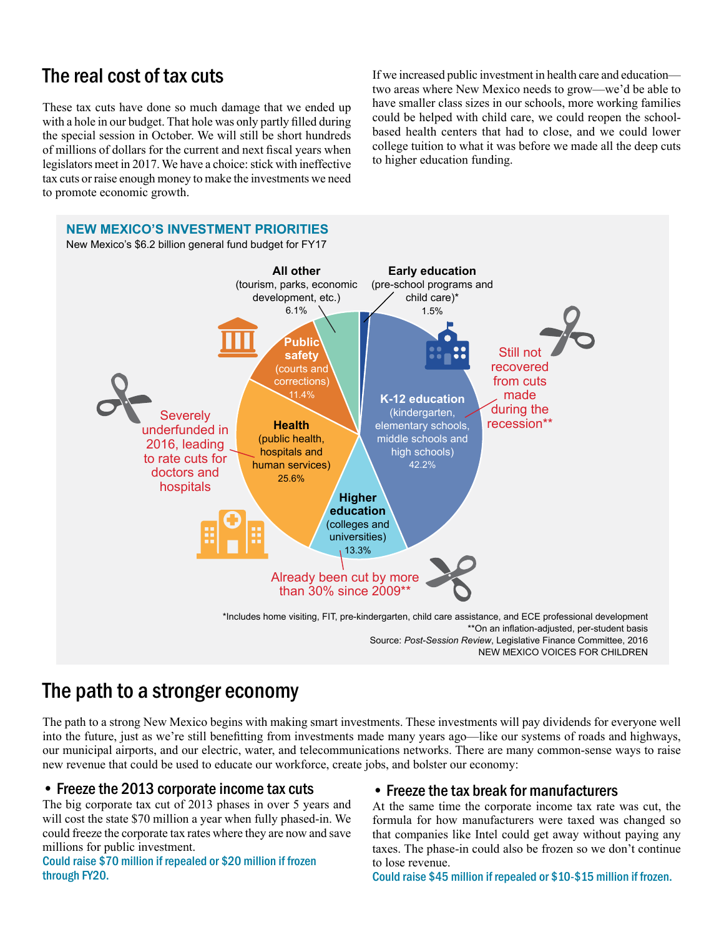# The real cost of tax cuts

These tax cuts have done so much damage that we ended up with a hole in our budget. That hole was only partly filled during the special session in October. We will still be short hundreds of millions of dollars for the current and next fiscal years when legislators meet in 2017. We have a choice: stick with ineffective tax cuts or raise enough money to make the investments we need to promote economic growth.

If we increased public investment in health care and education two areas where New Mexico needs to grow—we'd be able to have smaller class sizes in our schools, more working families could be helped with child care, we could reopen the schoolbased health centers that had to close, and we could lower college tuition to what it was before we made all the deep cuts to higher education funding.



# The path to a stronger economy

The path to a strong New Mexico begins with making smart investments. These investments will pay dividends for everyone well into the future, just as we're still benefitting from investments made many years ago—like our systems of roads and highways, our municipal airports, and our electric, water, and telecommunications networks. There are many common-sense ways to raise new revenue that could be used to educate our workforce, create jobs, and bolster our economy:

# • Freeze the 2013 corporate income tax cuts

The big corporate tax cut of 2013 phases in over 5 years and will cost the state \$70 million a year when fully phased-in. We could freeze the corporate tax rates where they are now and save millions for public investment.

Could raise \$70 million if repealed or \$20 million if frozen through FY20.

# • Freeze the tax break for manufacturers

At the same time the corporate income tax rate was cut, the formula for how manufacturers were taxed was changed so that companies like Intel could get away without paying any taxes. The phase-in could also be frozen so we don't continue to lose revenue.

Could raise \$45 million if repealed or \$10-\$15 million if frozen.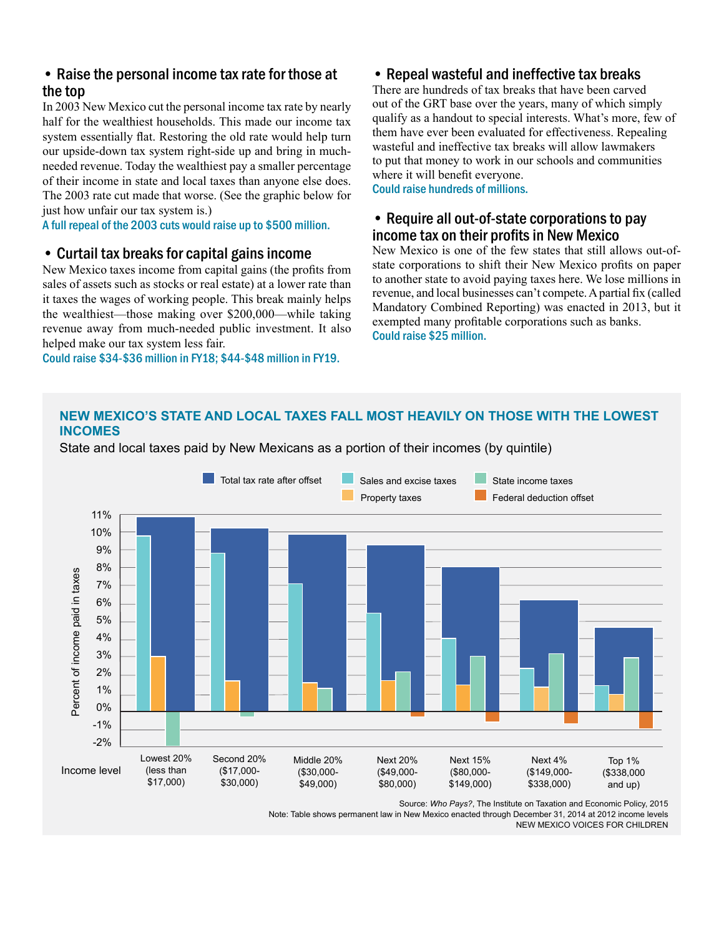# • Raise the personal income tax rate for those at the top

In 2003 New Mexico cut the personal income tax rate by nearly half for the wealthiest households. This made our income tax system essentially flat. Restoring the old rate would help turn our upside-down tax system right-side up and bring in muchneeded revenue. Today the wealthiest pay a smaller percentage of their income in state and local taxes than anyone else does. The 2003 rate cut made that worse. (See the graphic below for just how unfair our tax system is.)

A full repeal of the 2003 cuts would raise up to \$500 million.

#### • Curtail tax breaks for capital gains income

New Mexico taxes income from capital gains (the profits from sales of assets such as stocks or real estate) at a lower rate than it taxes the wages of working people. This break mainly helps the wealthiest—those making over \$200,000—while taking revenue away from much-needed public investment. It also helped make our tax system less fair.

Could raise \$34-\$36 million in FY18; \$44-\$48 million in FY19.

## • Repeal wasteful and ineffective tax breaks

There are hundreds of tax breaks that have been carved out of the GRT base over the years, many of which simply qualify as a handout to special interests. What's more, few of them have ever been evaluated for effectiveness. Repealing wasteful and ineffective tax breaks will allow lawmakers to put that money to work in our schools and communities where it will benefit everyone.

Could raise hundreds of millions.

# • Require all out-of-state corporations to pay income tax on their profits in New Mexico

New Mexico is one of the few states that still allows out-ofstate corporations to shift their New Mexico profits on paper to another state to avoid paying taxes here. We lose millions in revenue, and local businesses can't compete. A partial fix (called Mandatory Combined Reporting) was enacted in 2013, but it exempted many profitable corporations such as banks. Could raise \$25 million.

#### **New Mexico's state and local taxes fall most heavily on those with the lowest incomes**

State and local taxes paid by New Mexicans as a portion of their incomes (by quintile)



Source: *Who Pays?*, The Institute on Taxation and Economic Policy, 2015

Note: Table shows permanent law in New Mexico enacted through December 31, 2014 at 2012 income levels

NEW MEXICO VOICES FOR CHILDREN